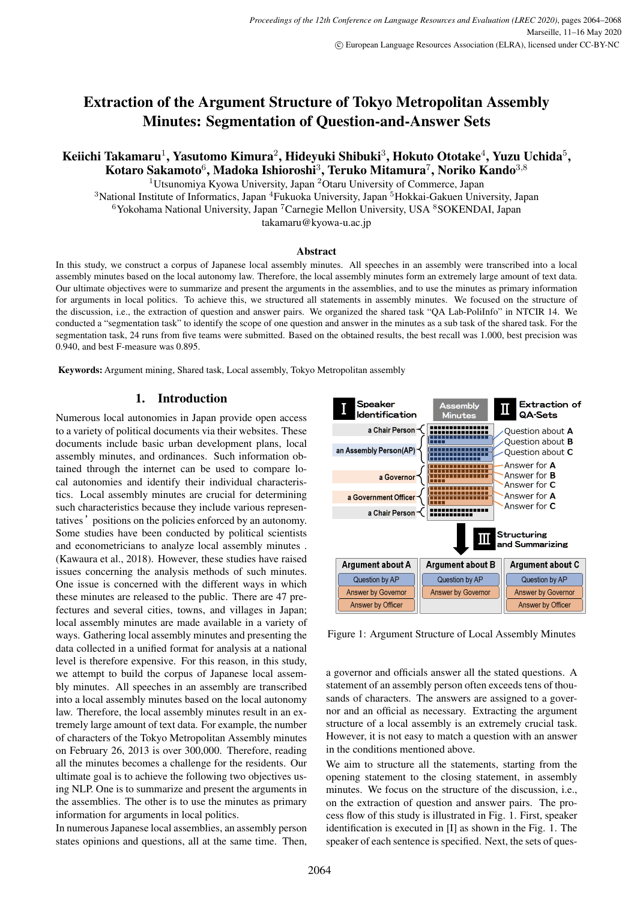# Extraction of the Argument Structure of Tokyo Metropolitan Assembly Minutes: Segmentation of Question-and-Answer Sets

# Keiichi Takamaru $^1$ , Yasutomo Kimura $^2$ , Hideyuki Shibuki $^3$ , Hokuto Ototake $^4$ , Yuzu Uchida $^5\!$ Kotaro Sakamoto<sup>6</sup>, Madoka Ishioroshi<sup>3</sup>, Teruko Mitamura<sup>7</sup>, Noriko Kando<sup>3,8</sup>

<sup>1</sup>Utsunomiya Kyowa University, Japan <sup>2</sup>Otaru University of Commerce, Japan <sup>3</sup>National Institute of Informatics, Japan <sup>4</sup>Fukuoka University, Japan <sup>5</sup>Hokkai-Gakuen University, Japan  $6$ Yokohama National University, Japan <sup>7</sup> Carnegie Mellon University, USA  $8$ SOKENDAI, Japan takamaru@kyowa-u.ac.jp

#### Abstract

In this study, we construct a corpus of Japanese local assembly minutes. All speeches in an assembly were transcribed into a local assembly minutes based on the local autonomy law. Therefore, the local assembly minutes form an extremely large amount of text data. Our ultimate objectives were to summarize and present the arguments in the assemblies, and to use the minutes as primary information for arguments in local politics. To achieve this, we structured all statements in assembly minutes. We focused on the structure of the discussion, i.e., the extraction of question and answer pairs. We organized the shared task "QA Lab-PoliInfo" in NTCIR 14. We conducted a "segmentation task" to identify the scope of one question and answer in the minutes as a sub task of the shared task. For the segmentation task, 24 runs from five teams were submitted. Based on the obtained results, the best recall was 1.000, best precision was 0.940, and best F-measure was 0.895.

Keywords: Argument mining, Shared task, Local assembly, Tokyo Metropolitan assembly

#### 1. Introduction

Numerous local autonomies in Japan provide open access to a variety of political documents via their websites. These documents include basic urban development plans, local assembly minutes, and ordinances. Such information obtained through the internet can be used to compare local autonomies and identify their individual characteristics. Local assembly minutes are crucial for determining such characteristics because they include various representatives' positions on the policies enforced by an autonomy. Some studies have been conducted by political scientists and econometricians to analyze local assembly minutes . (Kawaura et al., 2018). However, these studies have raised issues concerning the analysis methods of such minutes. One issue is concerned with the different ways in which these minutes are released to the public. There are 47 prefectures and several cities, towns, and villages in Japan; local assembly minutes are made available in a variety of ways. Gathering local assembly minutes and presenting the data collected in a unified format for analysis at a national level is therefore expensive. For this reason, in this study, we attempt to build the corpus of Japanese local assembly minutes. All speeches in an assembly are transcribed into a local assembly minutes based on the local autonomy law. Therefore, the local assembly minutes result in an extremely large amount of text data. For example, the number of characters of the Tokyo Metropolitan Assembly minutes on February 26, 2013 is over 300,000. Therefore, reading all the minutes becomes a challenge for the residents. Our ultimate goal is to achieve the following two objectives using NLP. One is to summarize and present the arguments in the assemblies. The other is to use the minutes as primary information for arguments in local politics.

In numerous Japanese local assemblies, an assembly person states opinions and questions, all at the same time. Then,



Figure 1: Argument Structure of Local Assembly Minutes

a governor and officials answer all the stated questions. A statement of an assembly person often exceeds tens of thousands of characters. The answers are assigned to a governor and an official as necessary. Extracting the argument structure of a local assembly is an extremely crucial task. However, it is not easy to match a question with an answer in the conditions mentioned above.

We aim to structure all the statements, starting from the opening statement to the closing statement, in assembly minutes. We focus on the structure of the discussion, i.e., on the extraction of question and answer pairs. The process flow of this study is illustrated in Fig. 1. First, speaker identification is executed in [I] as shown in the Fig. 1. The speaker of each sentence is specified. Next, the sets of ques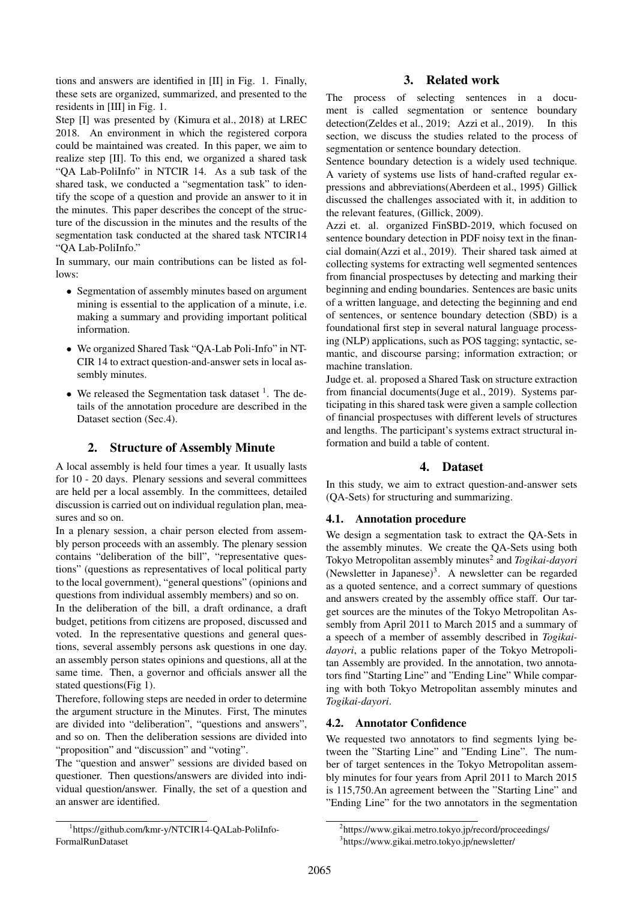tions and answers are identified in [II] in Fig. 1. Finally, these sets are organized, summarized, and presented to the residents in [III] in Fig. 1.

Step [I] was presented by (Kimura et al., 2018) at LREC 2018. An environment in which the registered corpora could be maintained was created. In this paper, we aim to realize step [II]. To this end, we organized a shared task "QA Lab-PoliInfo" in NTCIR 14. As a sub task of the shared task, we conducted a "segmentation task" to identify the scope of a question and provide an answer to it in the minutes. This paper describes the concept of the structure of the discussion in the minutes and the results of the segmentation task conducted at the shared task NTCIR14 "QA Lab-PoliInfo."

In summary, our main contributions can be listed as follows:

- *•* Segmentation of assembly minutes based on argument mining is essential to the application of a minute, i.e. making a summary and providing important political information.
- *•* We organized Shared Task "QA-Lab Poli-Info" in NT-CIR 14 to extract question-and-answer sets in local assembly minutes.
- We released the Segmentation task dataset <sup>1</sup>. The details of the annotation procedure are described in the Dataset section (Sec.4).

## 2. Structure of Assembly Minute

A local assembly is held four times a year. It usually lasts for 10 - 20 days. Plenary sessions and several committees are held per a local assembly. In the committees, detailed discussion is carried out on individual regulation plan, measures and so on.

In a plenary session, a chair person elected from assembly person proceeds with an assembly. The plenary session contains "deliberation of the bill", "representative questions" (questions as representatives of local political party to the local government), "general questions" (opinions and questions from individual assembly members) and so on.

In the deliberation of the bill, a draft ordinance, a draft budget, petitions from citizens are proposed, discussed and voted. In the representative questions and general questions, several assembly persons ask questions in one day. an assembly person states opinions and questions, all at the same time. Then, a governor and officials answer all the stated questions(Fig 1).

Therefore, following steps are needed in order to determine the argument structure in the Minutes. First, The minutes are divided into "deliberation", "questions and answers", and so on. Then the deliberation sessions are divided into "proposition" and "discussion" and "voting".

The "question and answer" sessions are divided based on questioner. Then questions/answers are divided into individual question/answer. Finally, the set of a question and an answer are identified.

## 3. Related work

The process of selecting sentences in a document is called segmentation or sentence boundary detection(Zeldes et al., 2019; Azzi et al., 2019). In this section, we discuss the studies related to the process of segmentation or sentence boundary detection.

Sentence boundary detection is a widely used technique. A variety of systems use lists of hand-crafted regular expressions and abbreviations(Aberdeen et al., 1995) Gillick discussed the challenges associated with it, in addition to the relevant features, (Gillick, 2009).

Azzi et. al. organized FinSBD-2019, which focused on sentence boundary detection in PDF noisy text in the financial domain(Azzi et al., 2019). Their shared task aimed at collecting systems for extracting well segmented sentences from financial prospectuses by detecting and marking their beginning and ending boundaries. Sentences are basic units of a written language, and detecting the beginning and end of sentences, or sentence boundary detection (SBD) is a foundational first step in several natural language processing (NLP) applications, such as POS tagging; syntactic, semantic, and discourse parsing; information extraction; or machine translation.

Judge et. al. proposed a Shared Task on structure extraction from financial documents(Juge et al., 2019). Systems participating in this shared task were given a sample collection of financial prospectuses with different levels of structures and lengths. The participant's systems extract structural information and build a table of content.

## 4. Dataset

In this study, we aim to extract question-and-answer sets (QA-Sets) for structuring and summarizing.

## 4.1. Annotation procedure

We design a segmentation task to extract the QA-Sets in the assembly minutes. We create the QA-Sets using both Tokyo Metropolitan assembly minutes<sup>2</sup> and *Togikai-dayori* (Newsletter in Japanese)<sup>3</sup>. A newsletter can be regarded as a quoted sentence, and a correct summary of questions and answers created by the assembly office staff. Our target sources are the minutes of the Tokyo Metropolitan Assembly from April 2011 to March 2015 and a summary of a speech of a member of assembly described in *Togikaidayori*, a public relations paper of the Tokyo Metropolitan Assembly are provided. In the annotation, two annotators find "Starting Line" and "Ending Line" While comparing with both Tokyo Metropolitan assembly minutes and *Togikai-dayori*.

## 4.2. Annotator Confidence

We requested two annotators to find segments lying between the "Starting Line" and "Ending Line". The number of target sentences in the Tokyo Metropolitan assembly minutes for four years from April 2011 to March 2015 is 115,750.An agreement between the "Starting Line" and "Ending Line" for the two annotators in the segmentation

<sup>2</sup>https://www.gikai.metro.tokyo.jp/record/proceedings/ 3 https://www.gikai.metro.tokyo.jp/newsletter/

<sup>1</sup> https://github.com/kmr-y/NTCIR14-QALab-PoliInfo-FormalRunDataset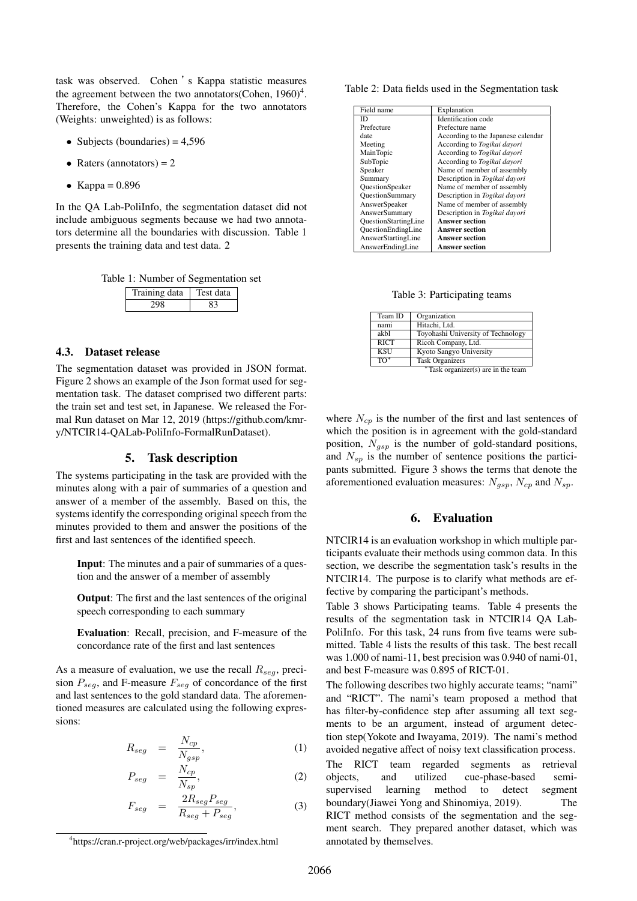task was observed. Cohen 's Kappa statistic measures the agreement between the two annotators(Cohen,  $1960)^4$ . Therefore, the Cohen's Kappa for the two annotators (Weights: unweighted) is as follows:

- Subjects (boundaries) = 4,596
- Raters (annotators) = 2
- *•* Kappa = 0.896

In the QA Lab-PoliInfo, the segmentation dataset did not include ambiguous segments because we had two annotators determine all the boundaries with discussion. Table 1 presents the training data and test data. 2

|  | Table 1: Number of Segmentation set |  |
|--|-------------------------------------|--|
|--|-------------------------------------|--|

| Training data | Test data |  |
|---------------|-----------|--|
|               |           |  |

#### 4.3. Dataset release

The segmentation dataset was provided in JSON format. Figure 2 shows an example of the Json format used for segmentation task. The dataset comprised two different parts: the train set and test set, in Japanese. We released the Formal Run dataset on Mar 12, 2019 (https://github.com/kmry/NTCIR14-QALab-PoliInfo-FormalRunDataset).

### 5. Task description

The systems participating in the task are provided with the minutes along with a pair of summaries of a question and answer of a member of the assembly. Based on this, the systems identify the corresponding original speech from the minutes provided to them and answer the positions of the first and last sentences of the identified speech.

Input: The minutes and a pair of summaries of a question and the answer of a member of assembly

Output: The first and the last sentences of the original speech corresponding to each summary

Evaluation: Recall, precision, and F-measure of the concordance rate of the first and last sentences

As a measure of evaluation, we use the recall *Rseg*, precision *Pseg*, and F-measure *Fseg* of concordance of the first and last sentences to the gold standard data. The aforementioned measures are calculated using the following expressions:

$$
R_{seg} = \frac{N_{cp}}{N_{gsp}}, \tag{1}
$$

$$
P_{seg} = \frac{N_{cp}}{N_{sp}}, \tag{2}
$$

$$
F_{seg} = \frac{2R_{seg}P_{seg}}{R_{seg} + P_{seg}}, \tag{3}
$$

Table 2: Data fields used in the Segmentation task

| Field name             | Explanation                        |
|------------------------|------------------------------------|
| ID                     | Identification code                |
| Prefecture             | Prefecture name                    |
| date                   | According to the Japanese calendar |
| Meeting                | According to Togikai dayori        |
| MainTopic              | According to Togikai dayori        |
| SubTopic               | According to Togikai dayori        |
| Speaker                | Name of member of assembly         |
| Summary                | Description in Togikai dayori      |
| <b>OuestionSpeaker</b> | Name of member of assembly         |
| <b>OuestionSummary</b> | Description in Togikai dayori      |
| AnswerSpeaker          | Name of member of assembly         |
| AnswerSummary          | Description in Togikai dayori      |
| OuestionStartingLine   | <b>Answer section</b>              |
| OuestionEndingLine     | <b>Answer section</b>              |
| AnswerStartingLine     | <b>Answer section</b>              |
| AnswerEndingLine       | <b>Answer section</b>              |

Table 3: Participating teams

| Team ID        | Organization                          |
|----------------|---------------------------------------|
| nami           | Hitachi, Ltd.                         |
| akbl           | Toyohashi University of Technology    |
| <b>RICT</b>    | Ricoh Company, Ltd.                   |
| <b>KSU</b>     | Kyoto Sangyo University               |
| $\overline{a}$ | <b>Task Organizers</b>                |
|                | $*$ Task organizer(s) are in the team |

where *Ncp* is the number of the first and last sentences of which the position is in agreement with the gold-standard position, *Ngsp* is the number of gold-standard positions, and *Nsp* is the number of sentence positions the participants submitted. Figure 3 shows the terms that denote the aforementioned evaluation measures: *Ngsp*, *Ncp* and *Nsp*.

#### 6. Evaluation

NTCIR14 is an evaluation workshop in which multiple participants evaluate their methods using common data. In this section, we describe the segmentation task's results in the NTCIR14. The purpose is to clarify what methods are effective by comparing the participant's methods.

Table 3 shows Participating teams. Table 4 presents the results of the segmentation task in NTCIR14 QA Lab-PoliInfo. For this task, 24 runs from five teams were submitted. Table 4 lists the results of this task. The best recall was 1.000 of nami-11, best precision was 0.940 of nami-01, and best F-measure was 0.895 of RICT-01.

The following describes two highly accurate teams; "nami" and "RICT". The nami's team proposed a method that has filter-by-confidence step after assuming all text segments to be an argument, instead of argument detection step(Yokote and Iwayama, 2019). The nami's method avoided negative affect of noisy text classification process. The RICT team regarded segments as retrieval objects, and utilized cue-phase-based semisupervised learning method to detect segment boundary(Jiawei Yong and Shinomiya, 2019). The RICT method consists of the segmentation and the segment search. They prepared another dataset, which was annotated by themselves.

<sup>4</sup> https://cran.r-project.org/web/packages/irr/index.html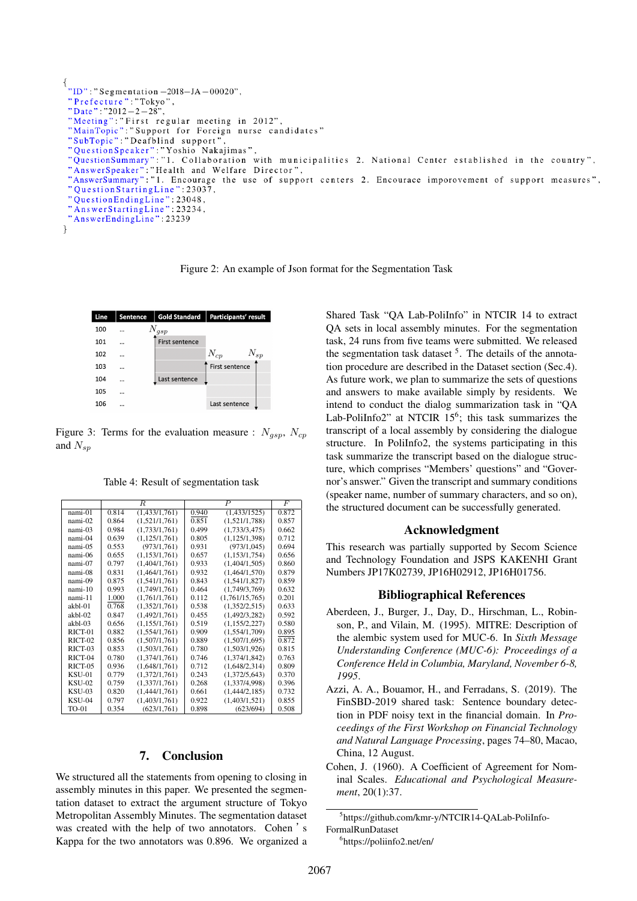```
"Prefecture": "Tokyo"
 "Date": "2012-2-28",
 "Meeting":"First regular meeting in 2012",<br>"MainTopic":"Support for Foreign nurse candidates"
 "SubTopic": "Deafblind support"
 "QuestionSpeaker": "Yoshio Nakajimas",<br>"QuestionSpeaker": "Yoshio Nakajimas",<br>"QuestionSummary": "1. Collaboration with municipalities 2. National Center established in the country",
 "AnswerSpeaker": "Health and Welfare Director",<br>"AnswerSpeaker": "Health and Welfare Director",<br>"AnswerSummary": "1. Encourage the use of support centers 2. Encourace imporovement of support measures",
 "QuestionStartingLine": 23037,
 "QuestionEndingLine": 23048,<br>"AnswerStartingLine": 23234,
 "AnswerEndingLine": 23239
ľ
```
Figure 2: An example of Json format for the Segmentation Task



Figure 3: Terms for the evaluation measure :  $N_{qsp}$ ,  $N_{cp}$ and  $N_{sn}$ 

Table 4: Result of segmentation task

|               |       | R               |       | $\boldsymbol{P}$ | F     |
|---------------|-------|-----------------|-------|------------------|-------|
| nami-01       | 0.814 | (1,433/1,761)   | 0.940 | (1,433/1525)     | 0.872 |
| nami-02       | 0.864 | (1,521/1,761)   | 0.851 | (1,521/1,788)    | 0.857 |
| nami-03       | 0.984 | (1.733/1.761)   | 0.499 | (1.733/3.475)    | 0.662 |
| nami-04       | 0.639 | (1, 125/1, 761) | 0.805 | (1,125/1,398)    | 0.712 |
| nami-05       | 0.553 | (973/1,761)     | 0.931 | (973/1,045)      | 0.694 |
| nami-06       | 0.655 | (1,153/1,761)   | 0.657 | (1,153/1,754)    | 0.656 |
| nami-07       | 0.797 | (1.404/1.761)   | 0.933 | (1.404/1.505)    | 0.860 |
| nami-08       | 0.831 | (1,464/1,761)   | 0.932 | (1,464/1,570)    | 0.879 |
| nami-09       | 0.875 | (1,541/1,761)   | 0.843 | (1,541/1,827)    | 0.859 |
| $nami-10$     | 0.993 | (1,749/1,761)   | 0.464 | (1,749/3,769)    | 0.632 |
| nami-11       | 1.000 | (1.761/1.761)   | 0.112 | (1,761/15,765)   | 0.201 |
| akbl-01       | 0.768 | (1,352/1,761)   | 0.538 | (1,352/2,515)    | 0.633 |
| akbl-02       | 0.847 | (1,492/1,761)   | 0.455 | (1,492/3,282)    | 0.592 |
| akbl-03       | 0.656 | (1,155/1,761)   | 0.519 | (1,155/2,227)    | 0.580 |
| RICT-01       | 0.882 | (1,554/1,761)   | 0.909 | (1,554/1,709)    | 0.895 |
| $RICT-02$     | 0.856 | (1,507/1,761)   | 0.889 | (1,507/1,695)    | 0.872 |
| RICT-03       | 0.853 | (1,503/1,761)   | 0.780 | (1,503/1,926)    | 0.815 |
| $RICT-04$     | 0.780 | (1,374/1,761)   | 0.746 | (1,374/1,842)    | 0.763 |
| RICT-05       | 0.936 | (1,648/1,761)   | 0.712 | (1,648/2,314)    | 0.809 |
| KSU-01        | 0.779 | (1,372/1,761)   | 0.243 | (1,372/5,643)    | 0.370 |
| <b>KSU-02</b> | 0.759 | (1,337/1,761)   | 0.268 | (1,337/4,998)    | 0.396 |
| <b>KSU-03</b> | 0.820 | (1.444/1.761)   | 0.661 | (1,444/2,185)    | 0.732 |
| <b>KSU-04</b> | 0.797 | (1,403/1,761)   | 0.922 | (1,403/1,521)    | 0.855 |
| TO-01         | 0.354 | (623/1,761)     | 0.898 | (623/694)        | 0.508 |

## 7. Conclusion

We structured all the statements from opening to closing in assembly minutes in this paper. We presented the segmentation dataset to extract the argument structure of Tokyo Metropolitan Assembly Minutes. The segmentation dataset was created with the help of two annotators. Cohen 's Kappa for the two annotators was 0.896. We organized a Shared Task "QA Lab-PoliInfo" in NTCIR 14 to extract QA sets in local assembly minutes. For the segmentation task, 24 runs from five teams were submitted. We released the segmentation task dataset <sup>5</sup>. The details of the annotation procedure are described in the Dataset section (Sec.4). As future work, we plan to summarize the sets of questions and answers to make available simply by residents. We intend to conduct the dialog summarization task in "QA Lab-PoliInfo2" at NTCIR  $15^6$ ; this task summarizes the transcript of a local assembly by considering the dialogue structure. In PoliInfo2, the systems participating in this task summarize the transcript based on the dialogue structure, which comprises "Members' questions" and "Governor's answer." Given the transcript and summary conditions (speaker name, number of summary characters, and so on), the structured document can be successfully generated.

#### Acknowledgment

This research was partially supported by Secom Science and Technology Foundation and JSPS KAKENHI Grant Numbers JP17K02739, JP16H02912, JP16H01756.

#### Bibliographical References

- Aberdeen, J., Burger, J., Day, D., Hirschman, L., Robinson, P., and Vilain, M. (1995). MITRE: Description of the alembic system used for MUC-6. In *Sixth Message Understanding Conference (MUC-6): Proceedings of a Conference Held in Columbia, Maryland, November 6-8, 1995*.
- Azzi, A. A., Bouamor, H., and Ferradans, S. (2019). The FinSBD-2019 shared task: Sentence boundary detection in PDF noisy text in the financial domain. In *Proceedings of the First Workshop on Financial Technology and Natural Language Processing*, pages 74–80, Macao, China, 12 August.
- Cohen, J. (1960). A Coefficient of Agreement for Nominal Scales. *Educational and Psychological Measurement*, 20(1):37.

<sup>5</sup> https://github.com/kmr-y/NTCIR14-QALab-PoliInfo-

FormalRunDataset

<sup>6</sup> https://poliinfo2.net/en/